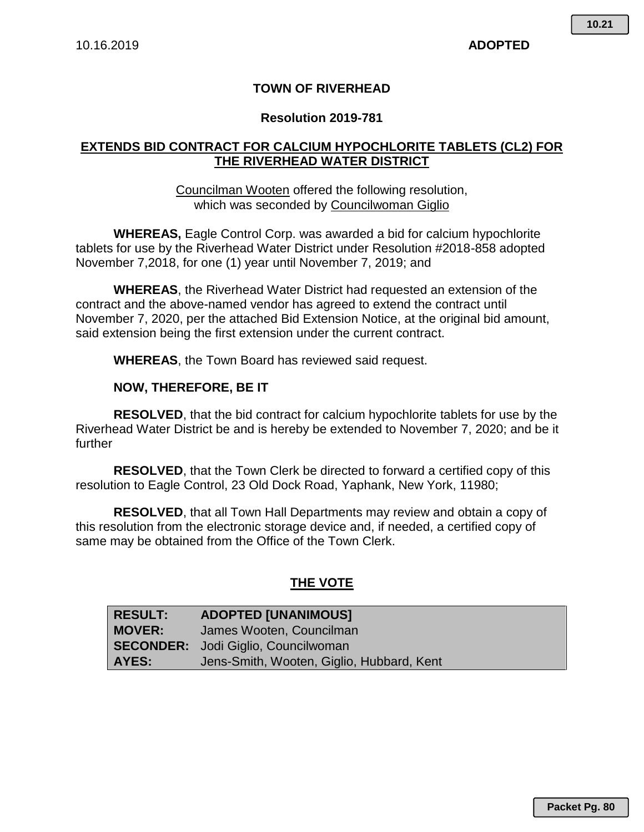# **TOWN OF RIVERHEAD**

## **Resolution 2019-781**

# **EXTENDS BID CONTRACT FOR CALCIUM HYPOCHLORITE TABLETS (CL2) FOR THE RIVERHEAD WATER DISTRICT**

## Councilman Wooten offered the following resolution, which was seconded by Councilwoman Giglio

**WHEREAS,** Eagle Control Corp. was awarded a bid for calcium hypochlorite tablets for use by the Riverhead Water District under Resolution #2018-858 adopted November 7,2018, for one (1) year until November 7, 2019; and

**WHEREAS**, the Riverhead Water District had requested an extension of the contract and the above-named vendor has agreed to extend the contract until November 7, 2020, per the attached Bid Extension Notice, at the original bid amount, said extension being the first extension under the current contract.

**WHEREAS**, the Town Board has reviewed said request.

### **NOW, THEREFORE, BE IT**

**RESOLVED**, that the bid contract for calcium hypochlorite tablets for use by the Riverhead Water District be and is hereby be extended to November 7, 2020; and be it further

**RESOLVED**, that the Town Clerk be directed to forward a certified copy of this resolution to Eagle Control, 23 Old Dock Road, Yaphank, New York, 11980;

**RESOLVED**, that all Town Hall Departments may review and obtain a copy of this resolution from the electronic storage device and, if needed, a certified copy of same may be obtained from the Office of the Town Clerk.

## **THE VOTE**

| <b>RESULT:</b> | <b>ADOPTED [UNANIMOUS]</b>                 |
|----------------|--------------------------------------------|
| <b>MOVER:</b>  | James Wooten, Councilman                   |
|                | <b>SECONDER:</b> Jodi Giglio, Councilwoman |
| AYES:          | Jens-Smith, Wooten, Giglio, Hubbard, Kent  |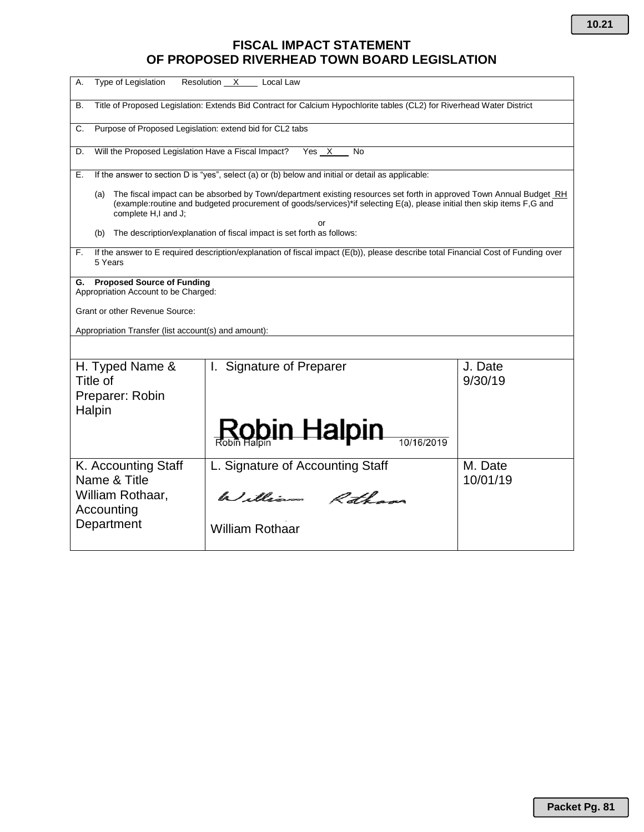# **FISCAL IMPACT STATEMENT OF PROPOSED RIVERHEAD TOWN BOARD LEGISLATION**

| Type of Legislation<br>А.                                                                                                                                                                                                                                                   | Resolution X<br>Local Law        |                     |  |  |  |  |  |  |  |  |
|-----------------------------------------------------------------------------------------------------------------------------------------------------------------------------------------------------------------------------------------------------------------------------|----------------------------------|---------------------|--|--|--|--|--|--|--|--|
| Title of Proposed Legislation: Extends Bid Contract for Calcium Hypochlorite tables (CL2) for Riverhead Water District<br>В.                                                                                                                                                |                                  |                     |  |  |  |  |  |  |  |  |
| Purpose of Proposed Legislation: extend bid for CL2 tabs<br>C.                                                                                                                                                                                                              |                                  |                     |  |  |  |  |  |  |  |  |
| Will the Proposed Legislation Have a Fiscal Impact?<br>Yes X<br>D.<br><b>No</b>                                                                                                                                                                                             |                                  |                     |  |  |  |  |  |  |  |  |
| If the answer to section D is "yes", select (a) or (b) below and initial or detail as applicable:<br>Е.                                                                                                                                                                     |                                  |                     |  |  |  |  |  |  |  |  |
| The fiscal impact can be absorbed by Town/department existing resources set forth in approved Town Annual Budget RH<br>(a)<br>(example:routine and budgeted procurement of goods/services)*if selecting E(a), please initial then skip items F,G and<br>complete H,I and J; |                                  |                     |  |  |  |  |  |  |  |  |
| or<br>The description/explanation of fiscal impact is set forth as follows:<br>(b)                                                                                                                                                                                          |                                  |                     |  |  |  |  |  |  |  |  |
| If the answer to E required description/explanation of fiscal impact (E(b)), please describe total Financial Cost of Funding over<br>F.<br>5 Years                                                                                                                          |                                  |                     |  |  |  |  |  |  |  |  |
| <b>Proposed Source of Funding</b><br>G.<br>Appropriation Account to be Charged:                                                                                                                                                                                             |                                  |                     |  |  |  |  |  |  |  |  |
| <b>Grant or other Revenue Source:</b>                                                                                                                                                                                                                                       |                                  |                     |  |  |  |  |  |  |  |  |
| Appropriation Transfer (list account(s) and amount):                                                                                                                                                                                                                        |                                  |                     |  |  |  |  |  |  |  |  |
|                                                                                                                                                                                                                                                                             |                                  |                     |  |  |  |  |  |  |  |  |
| H. Typed Name &<br>Title of                                                                                                                                                                                                                                                 | I. Signature of Preparer         | J. Date<br>9/30/19  |  |  |  |  |  |  |  |  |
| Preparer: Robin                                                                                                                                                                                                                                                             |                                  |                     |  |  |  |  |  |  |  |  |
| Halpin                                                                                                                                                                                                                                                                      |                                  |                     |  |  |  |  |  |  |  |  |
|                                                                                                                                                                                                                                                                             | <u>Rob</u> in Halpin             |                     |  |  |  |  |  |  |  |  |
| K. Accounting Staff<br>Name & Title                                                                                                                                                                                                                                         | L. Signature of Accounting Staff | M. Date<br>10/01/19 |  |  |  |  |  |  |  |  |
| William Rothaar,<br>Accounting                                                                                                                                                                                                                                              | William Ratham                   |                     |  |  |  |  |  |  |  |  |
| Department                                                                                                                                                                                                                                                                  | <b>William Rothaar</b>           |                     |  |  |  |  |  |  |  |  |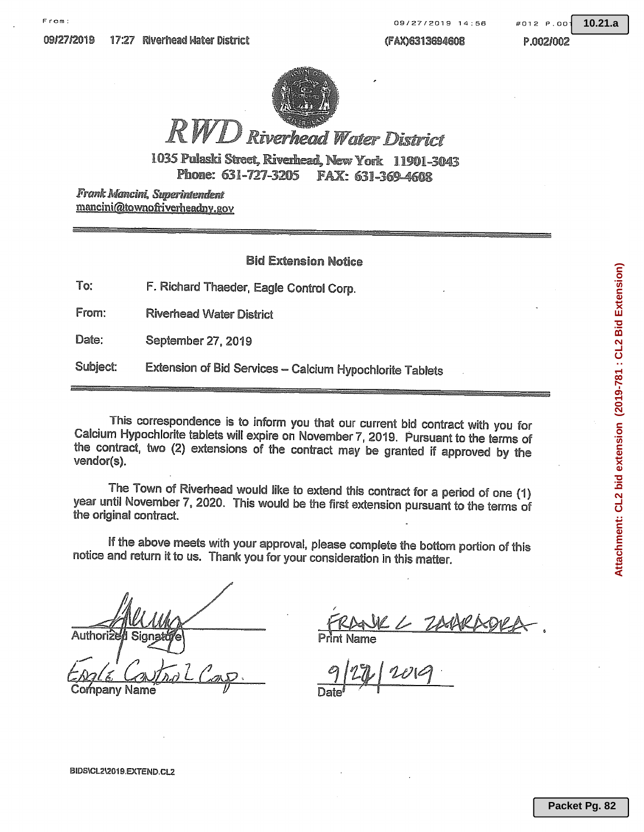(FAX)6313694608

#012 P.OO

 $10.21.a$ 

P.002/002



# **Riverhead Water District**

1035 Pulaski Street, Riverhead, New York 11901-3043 Phone: 631-727-3205 FAX: 631-369-4608

Frank Mancini, Superintendent mancini@townofriverheadny.gov

### **Bid Extension Notice**

| To: |  |  |  | F. Richard Thaeder, Eagle Control Corp. |  |  |  |
|-----|--|--|--|-----------------------------------------|--|--|--|
|-----|--|--|--|-----------------------------------------|--|--|--|

From: **Riverhead Water District** 

Date: September 27, 2019

Subject: Extension of Bid Services - Calcium Hypochlorite Tablets

This correspondence is to inform you that our current bid contract with you for Calcium Hypochlorite tablets will expire on November 7, 2019. Pursuant to the terms of the contract, two (2) extensions of the contract may be granted if approved by the vendor(s).

The Town of Riverhead would like to extend this contract for a period of one (1) year until November 7, 2020. This would be the first extension pursuant to the terms of the original contract.

If the above meets with your approval, please complete the bottom portion of this notice and return it to us. Thank you for your consideration in this matter.

Authoriz

ompany Name

Attachment: CL2 bid extension (2019-781 : CL2 Bid Extension)